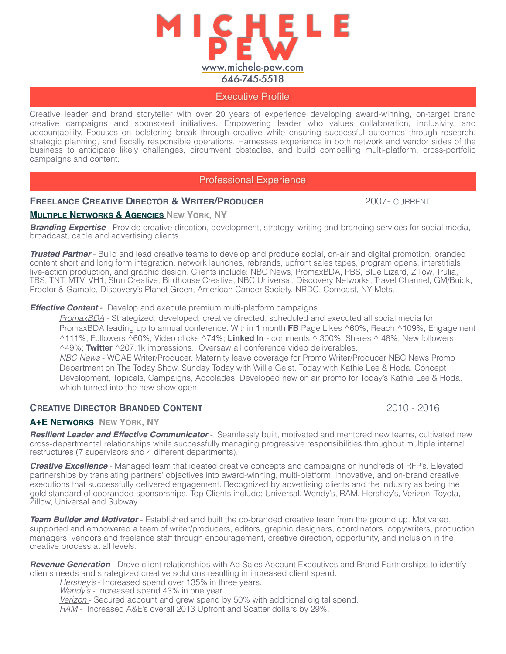

### Executive Profile

Creative leader and brand storyteller with over 20 years of experience developing award-winning, on-target brand creative campaigns and sponsored initiatives. Empowering leader who values collaboration, inclusivity, and accountability. Focuses on bolstering break through creative while ensuring successful outcomes through research, strategic planning, and fiscally responsible operations. Harnesses experience in both network and vendor sides of the business to anticipate likely challenges, circumvent obstacles, and build compelling multi-platform, cross-portfolio campaigns and content.

## Professional Experience

# **FREELANCE CREATIVE DIRECTOR & WRITER/PRODUCER 2007- CURRENT**

#### **MULTIPLE NETWORKS & AGENCIES NEW YORK, NY**

*Branding Expertise* - Provide creative direction, development, strategy, writing and branding services for social media, broadcast, cable and advertising clients.

*Trusted Partner* - Build and lead creative teams to develop and produce social, on-air and digital promotion, branded content short and long form integration, network launches, rebrands, upfront sales tapes, program opens, interstitials, live-action production, and graphic design. Clients include: NBC News, PromaxBDA, PBS, Blue Lizard, Zillow, Trulia, TBS, TNT, MTV, VH1, Stun Creative, Birdhouse Creative, NBC Universal, Discovery Networks, Travel Channel, GM/Buick, Proctor & Gamble, Discovery's Planet Green, American Cancer Society, NRDC, Comcast, NY Mets.

*Effective Content* - Develop and execute premium multi-platform campaigns.

*PromaxBDA* - Strategized, developed, creative directed, scheduled and executed all social media for PromaxBDA leading up to annual conference. Within 1 month **FB** Page Likes ^60%, Reach ^109%, Engagement ^111%, Followers ^60%, Video clicks ^74%; **Linked In** - comments ^ 300%, Shares ^ 48%, New followers ^49%; **Twitter** ^207.1k impressions. Oversaw all conference video deliverables.

*NBC News* - WGAE Writer/Producer. Maternity leave coverage for Promo Writer/Producer NBC News Promo Department on The Today Show, Sunday Today with Willie Geist, Today with Kathie Lee & Hoda. Concept Development, Topicals, Campaigns, Accolades. Developed new on air promo for Today's Kathie Lee & Hoda, which turned into the new show open.

# **CREATIVE DIRECTOR BRANDED CONTENT 1999 12010 - 2016** 2010 - 2016

#### **A+E NETWORKS NEW YORK, NY**

*Resilient Leader and Effective Communicator* - Seamlessly built, motivated and mentored new teams, cultivated new cross-departmental relationships while successfully managing progressive responsibilities throughout multiple internal restructures (7 supervisors and 4 different departments).

*Creative Excellence* - Managed team that ideated creative concepts and campaigns on hundreds of RFP's. Elevated partnerships by translating partners' objectives into award-winning, multi-platform, innovative, and on-brand creative executions that successfully delivered engagement. Recognized by advertising clients and the industry as being the gold standard of cobranded sponsorships. Top Clients include; Universal, Wendy's, RAM, Hershey's, Verizon, Toyota, Zillow, Universal and Subway.

*Team Builder and Motivator* - Established and built the co-branded creative team from the ground up. Motivated, supported and empowered a team of writer/producers, editors, graphic designers, coordinators, copywriters, production managers, vendors and freelance staff through encouragement, creative direction, opportunity, and inclusion in the creative process at all levels.

*Revenue Generation -* Drove client relationships with Ad Sales Account Executives and Brand Partnerships to identify clients needs and strategized creative solutions resulting in increased client spend.

*Hershey's* - Increased spend over 135% in three years. *Wendy's* - Increased spend 43% in one year. *Verizon* - Secured account and grew spend by 50% with additional digital spend. *RAM* - Increased A&E's overall 2013 Upfront and Scatter dollars by 29%.